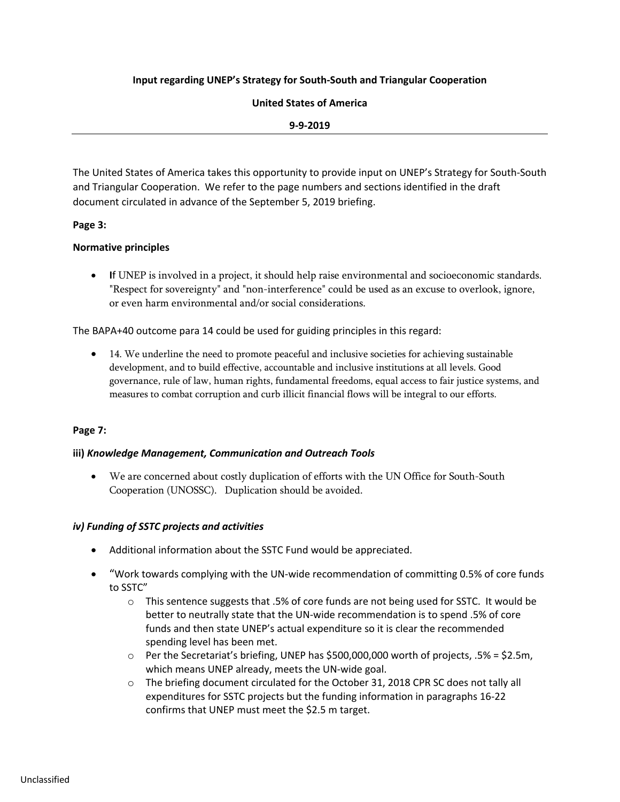# **Input regarding UNEP's Strategy for South-South and Triangular Cooperation**

## **United States of America**

#### **9-9-2019**

The United States of America takes this opportunity to provide input on UNEP's Strategy for South-South and Triangular Cooperation. We refer to the page numbers and sections identified in the draft document circulated in advance of the September 5, 2019 briefing.

## **Page 3:**

# **Normative principles**

• **I**f UNEP is involved in a project, it should help raise environmental and socioeconomic standards. "Respect for sovereignty" and "non-interference" could be used as an excuse to overlook, ignore, or even harm environmental and/or social considerations.

The BAPA+40 outcome para 14 could be used for guiding principles in this regard:

• 14. We underline the need to promote peaceful and inclusive societies for achieving sustainable development, and to build effective, accountable and inclusive institutions at all levels. Good governance, rule of law, human rights, fundamental freedoms, equal access to fair justice systems, and measures to combat corruption and curb illicit financial flows will be integral to our efforts.

## **Page 7:**

## **iii)** *Knowledge Management, Communication and Outreach Tools*

• We are concerned about costly duplication of efforts with the UN Office for South-South Cooperation (UNOSSC). Duplication should be avoided.

## *iv) Funding of SSTC projects and activities*

- Additional information about the SSTC Fund would be appreciated.
- "Work towards complying with the UN-wide recommendation of committing 0.5% of core funds to SSTC"
	- $\circ$  This sentence suggests that .5% of core funds are not being used for SSTC. It would be better to neutrally state that the UN-wide recommendation is to spend .5% of core funds and then state UNEP's actual expenditure so it is clear the recommended spending level has been met.
	- $\circ$  Per the Secretariat's briefing, UNEP has \$500,000,000 worth of projects, .5% = \$2.5m, which means UNEP already, meets the UN-wide goal.
	- o The briefing document circulated for the October 31, 2018 CPR SC does not tally all expenditures for SSTC projects but the funding information in paragraphs 16-22 confirms that UNEP must meet the \$2.5 m target.